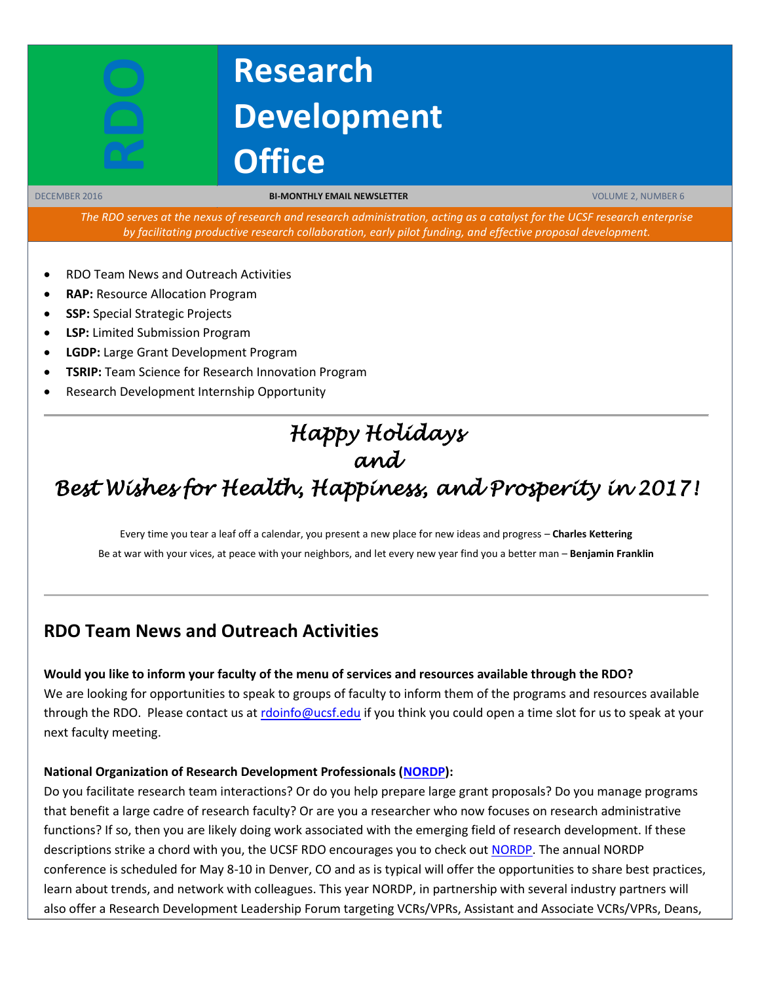# **RDO**

## **Research Development Office**

DECEMBER 2016 **BI-MONTHLY EMAIL NEWSLETTER** VOLUME 2, NUMBER 6

*The RDO serves at the nexus of research and research administration, acting as a catalyst for the UCSF research enterprise by facilitating productive research collaboration, early pilot funding, and effective proposal development.*

- RDO Team News and Outreach Activities
- **RAP:** Resource Allocation Program
- **SSP:** Special Strategic Projects
- **LSP:** Limited Submission Program
- **LGDP:** Large Grant Development Program
- **TSRIP:** Team Science for Research Innovation Program
- Research Development Internship Opportunity

#### *Happy Holidays and*

### *Best Wishes for Health, Happiness, and Prosperity in 2017!*

Every time you tear a leaf off a calendar, you present a new place for new ideas and progress – **Charles Kettering** Be at war with your vices, at peace with your neighbors, and let every new year find you a better man – **Benjamin Franklin**

#### **RDO Team News and Outreach Activities**

#### **Would you like to inform your faculty of the menu of services and resources available through the RDO?**

We are looking for opportunities to speak to groups of faculty to inform them of the programs and resources available through the RDO. Please contact us at [rdoinfo@ucsf.edu](mailto:rdoinfo@ucsf.edu) if you think you could open a time slot for us to speak at your next faculty meeting.

#### **National Organization of Research Development Professionals [\(NORDP\)](http://www.nordp.org/):**

Do you facilitate research team interactions? Or do you help prepare large grant proposals? Do you manage programs that benefit a large cadre of research faculty? Or are you a researcher who now focuses on research administrative functions? If so, then you are likely doing work associated with the emerging field of research development. If these descriptions strike a chord with you, the UCSF RDO encourages you to check out [NORDP.](http://www.nordp.org/) The annual NORDP conference is scheduled for May 8-10 in Denver, CO and as is typical will offer the opportunities to share best practices, learn about trends, and network with colleagues. This year NORDP, in partnership with several industry partners will also offer a Research Development Leadership Forum targeting VCRs/VPRs, Assistant and Associate VCRs/VPRs, Deans,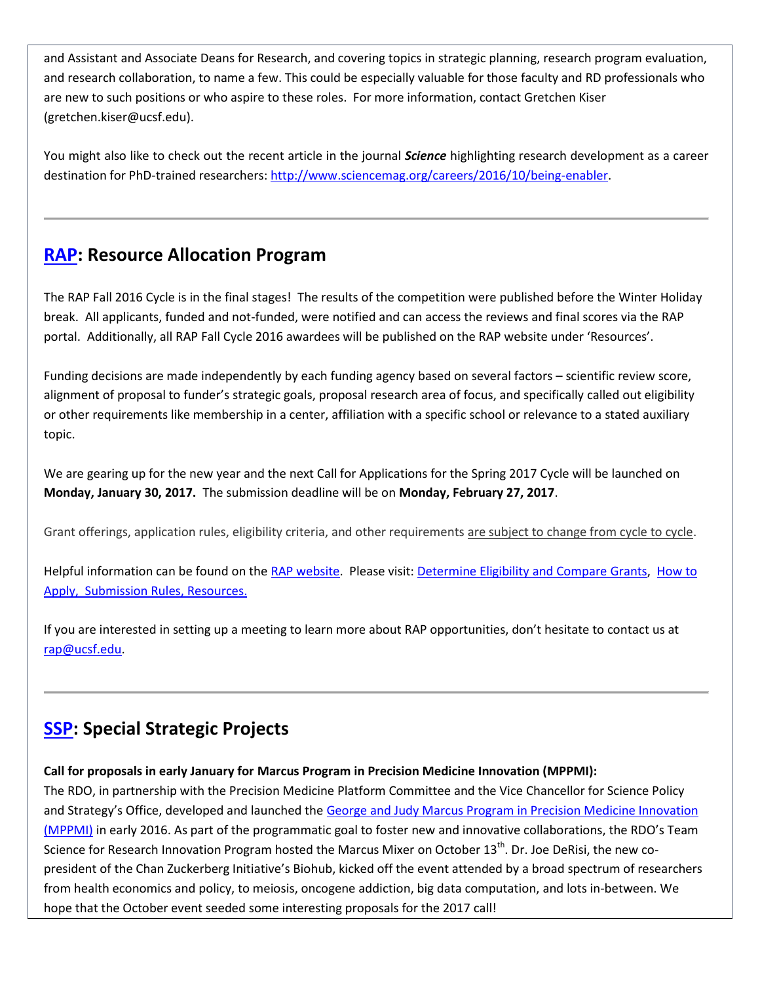and Assistant and Associate Deans for Research, and covering topics in strategic planning, research program evaluation, and research collaboration, to name a few. This could be especially valuable for those faculty and RD professionals who are new to such positions or who aspire to these roles. For more information, contact Gretchen Kiser (gretchen.kiser@ucsf.edu).

You might also like to check out the recent article in the journal *Science* highlighting research development as a career destination for PhD-trained researchers: [http://www.sciencemag.org/careers/2016/10/being-enabler.](http://www.sciencemag.org/careers/2016/10/being-enabler)

#### **[RAP:](https://rap.ucsf.edu/) Resource Allocation Program**

The RAP Fall 2016 Cycle is in the final stages! The results of the competition were published before the Winter Holiday break. All applicants, funded and not-funded, were notified and can access the reviews and final scores via the RAP portal. Additionally, all RAP Fall Cycle 2016 awardees will be published on the RAP website under 'Resources'.

Funding decisions are made independently by each funding agency based on several factors – scientific review score, alignment of proposal to funder's strategic goals, proposal research area of focus, and specifically called out eligibility or other requirements like membership in a center, affiliation with a specific school or relevance to a stated auxiliary topic.

We are gearing up for the new year and the next Call for Applications for the Spring 2017 Cycle will be launched on **Monday, January 30, 2017.** The submission deadline will be on **Monday, February 27, 2017**.

Grant offerings, application rules, eligibility criteria, and other requirements are subject to change from cycle to cycle.

Helpful information can be found on the [RAP website.](http://rap.ucsf.edu/home) Please visit: [Determine Eligibility and Compare Grants,](http://rap.ucsf.edu/determine-eligibility-compare-grants) [How to](http://rap.ucsf.edu/submission-rules)  [Apply, Submission Rules, Resources.](http://rap.ucsf.edu/submission-rules)

If you are interested in setting up a meeting to learn more about RAP opportunities, don't hesitate to contact us at [rap@ucsf.edu.](mailto:rap@ucsf.edu)

#### **[SSP:](https://rap.ucsf.edu/) Special Strategic Projects**

#### **Call for proposals in early January for Marcus Program in Precision Medicine Innovation (MPPMI):**

The RDO, in partnership with the Precision Medicine Platform Committee and the Vice Chancellor for Science Policy and Strategy's Office, developed and launched the George [and Judy Marcus Program in Precision Medicine Innovation](http://rdo.ucsf.edu/news/marcus-program-precision-medicine-innovation)  [\(MPPMI\)](http://rdo.ucsf.edu/news/marcus-program-precision-medicine-innovation) in early 2016. As part of the programmatic goal to foster new and innovative collaborations, the RDO's Team Science for Research Innovation Program hosted the Marcus Mixer on October 13<sup>th</sup>. Dr. Joe DeRisi, the new copresident of the Chan Zuckerberg Initiative's Biohub, kicked off the event attended by a broad spectrum of researchers from health economics and policy, to meiosis, oncogene addiction, big data computation, and lots in-between. We hope that the October event seeded some interesting proposals for the 2017 call!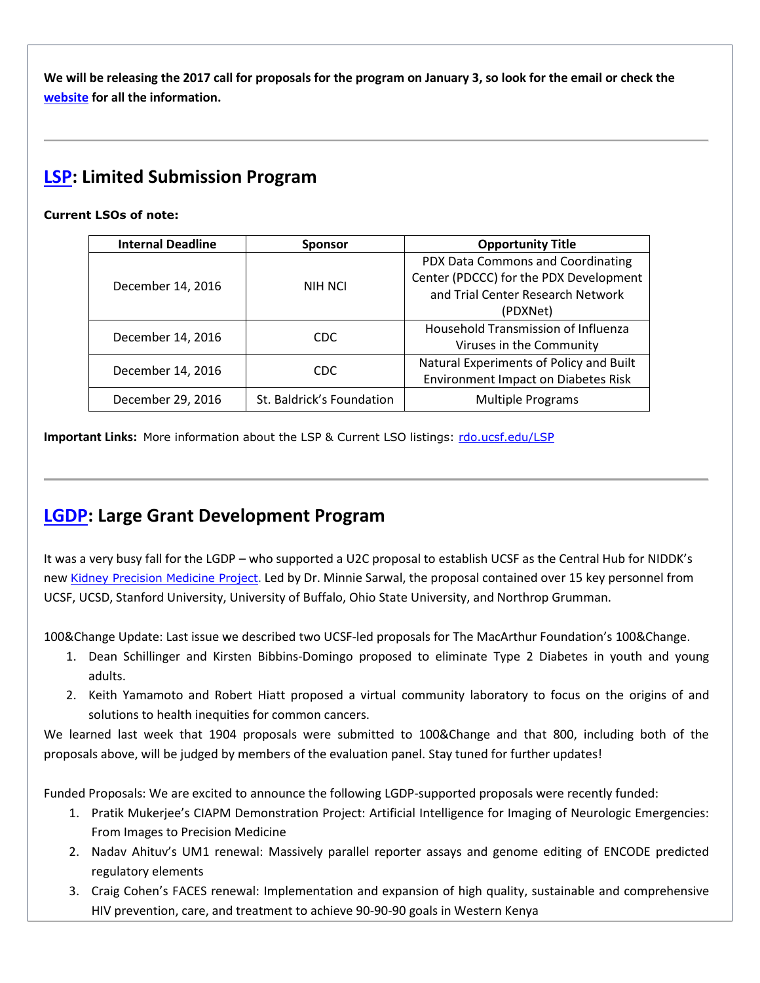**We will be releasing the 2017 call for proposals for the program on January 3, so look for the email or check the [website](http://rdo.ucsf.edu/news/marcus-program-precision-medicine-innovation) for all the information.**

#### **[LSP:](http://rdo.ucsf.edu/limited-submission-program-lsp) Limited Submission Program**

#### **Current LSOs of note:**

| <b>Internal Deadline</b> | <b>Sponsor</b>            | <b>Opportunity Title</b>                   |
|--------------------------|---------------------------|--------------------------------------------|
| December 14, 2016        | NIH NCI                   | PDX Data Commons and Coordinating          |
|                          |                           | Center (PDCCC) for the PDX Development     |
|                          |                           | and Trial Center Research Network          |
|                          |                           | (PDXNet)                                   |
| December 14, 2016        | CDC.                      | Household Transmission of Influenza        |
|                          |                           | Viruses in the Community                   |
| December 14, 2016        | CDC.                      | Natural Experiments of Policy and Built    |
|                          |                           | <b>Environment Impact on Diabetes Risk</b> |
| December 29, 2016        | St. Baldrick's Foundation | <b>Multiple Programs</b>                   |
|                          |                           |                                            |

**Important Links:** More information about the LSP & Current LSO listings: [rdo.ucsf.edu/LSP](http://rdo.ucsf.edu/limited-submission-program-lsp)

#### **[LGDP:](http://rdo.ucsf.edu/large-grant-development-program-lgdp) Large Grant Development Program**

It was a very busy fall for the LGDP – who supported a U2C proposal to establish UCSF as the Central Hub for NIDDK's new [Kidney Precision Medicine Project](https://www.niddk.nih.gov/research-funding/research-programs/Pages/kidneyprecisionmedicine.aspx). Led by Dr. Minnie Sarwal, the proposal contained over 15 key personnel from UCSF, UCSD, Stanford University, University of Buffalo, Ohio State University, and Northrop Grumman.

100&Change Update: Last issue we described two UCSF-led proposals for The MacArthur Foundation's 100&Change.

- 1. Dean Schillinger and Kirsten Bibbins-Domingo proposed to eliminate Type 2 Diabetes in youth and young adults.
- 2. Keith Yamamoto and Robert Hiatt proposed a virtual community laboratory to focus on the origins of and solutions to health inequities for common cancers.

We learned last week that 1904 proposals were submitted to 100&Change and that 800, including both of the proposals above, will be judged by members of the evaluation panel. Stay tuned for further updates!

Funded Proposals: We are excited to announce the following LGDP-supported proposals were recently funded:

- 1. Pratik Mukerjee's CIAPM Demonstration Project: Artificial Intelligence for Imaging of Neurologic Emergencies: From Images to Precision Medicine
- 2. Nadav Ahituv's UM1 renewal: Massively parallel reporter assays and genome editing of ENCODE predicted regulatory elements
- 3. Craig Cohen's FACES renewal: Implementation and expansion of high quality, sustainable and comprehensive HIV prevention, care, and treatment to achieve 90-90-90 goals in Western Kenya